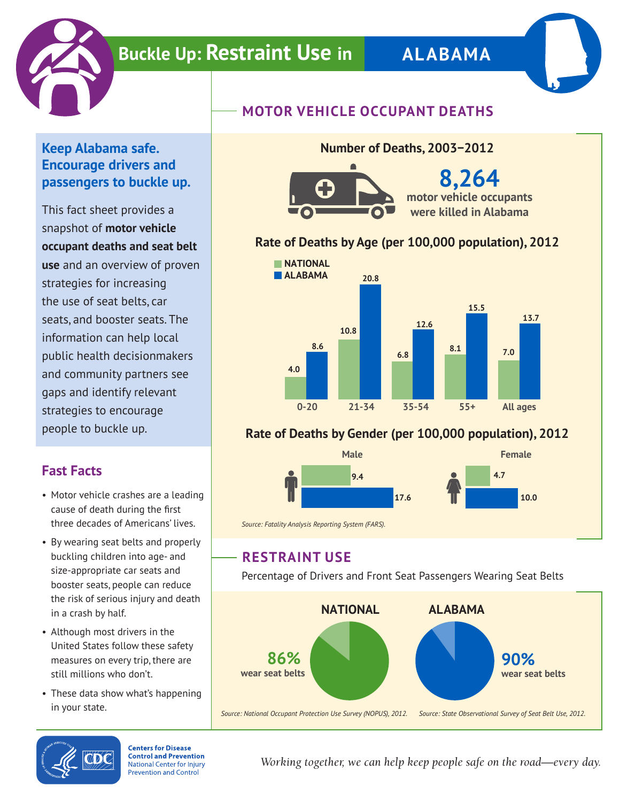

# **Buckle Up: Restraint Use in ALABAMA**



#### **Keep Alabama safe. Encourage drivers and passengers to buckle up.**

This fact sheet provides a snapshot of **motor vehicle occupant deaths and seat belt use** and an overview of proven strategies for increasing the use of seat belts, car seats, and booster seats. The information can help local public health decisionmakers and community partners see gaps and identify relevant strategies to encourage people to buckle up.

## **Fast Facts**

- Motor vehicle crashes are a leading cause of death during the first three decades of Americans' lives.
- By wearing seat belts and properly buckling children into age- and size-appropriate car seats and booster seats, people can reduce the risk of serious injury and death in a crash by half.
- Although most drivers in the United States follow these safety measures on every trip, there are still millions who don't.
- These data show what's happening in your state.





**8,264 motor vehicle occupants were killed in Alabama**

### **Rate of Deaths by Age (per 100,000 population), 2012**

**Number of Deaths, 2003−2012**



### **Rate of Deaths by Gender (per 100,000 population), 2012**



*Source: Fatality Analysis Reporting System (FARS).*

## **RESTRAINT USE**

Percentage of Drivers and Front Seat Passengers Wearing Seat Belts





**Centers for Disease Control and Prevention National Center for Injury Prevention and Control** 

*Working together, we can help keep people safe on the road—every day.*